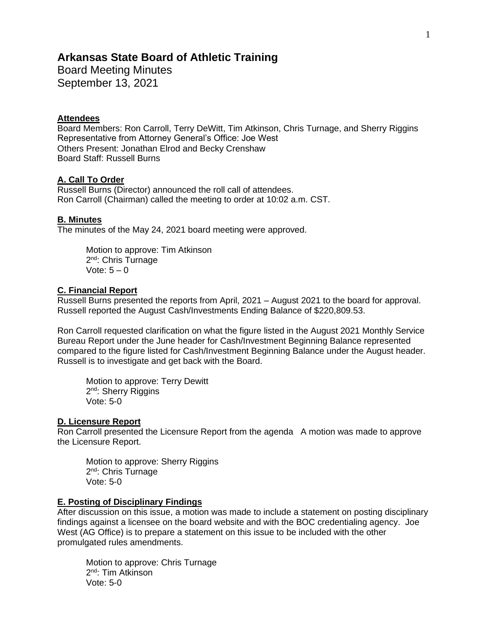# **Arkansas State Board of Athletic Training**

Board Meeting Minutes September 13, 2021

### **Attendees**

Board Members: Ron Carroll, Terry DeWitt, Tim Atkinson, Chris Turnage, and Sherry Riggins Representative from Attorney General's Office: Joe West Others Present: Jonathan Elrod and Becky Crenshaw Board Staff: Russell Burns

### **A. Call To Order**

Russell Burns (Director) announced the roll call of attendees. Ron Carroll (Chairman) called the meeting to order at 10:02 a.m. CST.

### **B. Minutes**

The minutes of the May 24, 2021 board meeting were approved.

Motion to approve: Tim Atkinson 2<sup>nd</sup>: Chris Turnage Vote:  $5 - 0$ 

### **C. Financial Report**

Russell Burns presented the reports from April, 2021 – August 2021 to the board for approval. Russell reported the August Cash/Investments Ending Balance of \$220,809.53.

Ron Carroll requested clarification on what the figure listed in the August 2021 Monthly Service Bureau Report under the June header for Cash/Investment Beginning Balance represented compared to the figure listed for Cash/Investment Beginning Balance under the August header. Russell is to investigate and get back with the Board.

Motion to approve: Terry Dewitt 2<sup>nd</sup>: Sherry Riggins Vote: 5-0

#### **D. Licensure Report**

Ron Carroll presented the Licensure Report from the agenda A motion was made to approve the Licensure Report.

Motion to approve: Sherry Riggins 2<sup>nd</sup>: Chris Turnage Vote: 5-0

### **E. Posting of Disciplinary Findings**

After discussion on this issue, a motion was made to include a statement on posting disciplinary findings against a licensee on the board website and with the BOC credentialing agency. Joe West (AG Office) is to prepare a statement on this issue to be included with the other promulgated rules amendments.

Motion to approve: Chris Turnage 2<sup>nd</sup>: Tim Atkinson Vote: 5-0